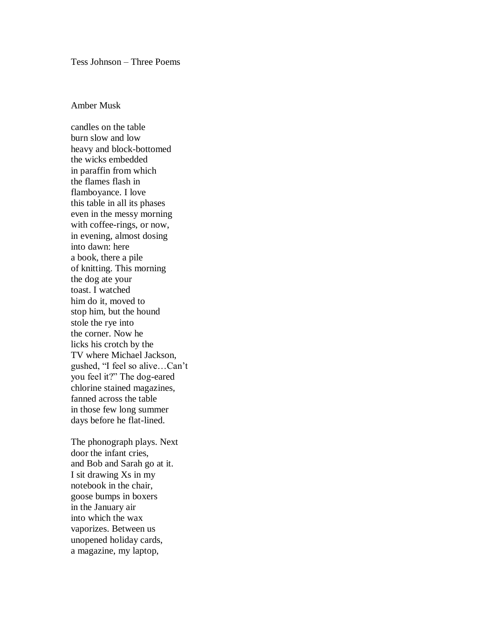Tess Johnson – Three Poems

## Amber Musk

candles on the table burn slow and low heavy and block-bottomed the wicks embedded in paraffin from which the flames flash in flamboyance. I love this table in all its phases even in the messy morning with coffee-rings, or now, in evening, almost dosing into dawn: here a book, there a pile of knitting. This morning the dog ate your toast. I watched him do it, moved to stop him, but the hound stole the rye into the corner. Now he licks his crotch by the TV where Michael Jackson, gushed, "I feel so alive...Can't you feel it?" The dog-eared chlorine stained magazines, fanned across the table in those few long summer days before he flat-lined.

The phonograph plays. Next door the infant cries, and Bob and Sarah go at it. I sit drawing Xs in my notebook in the chair, goose bumps in boxers in the January air into which the wax vaporizes. Between us unopened holiday cards, a magazine, my laptop,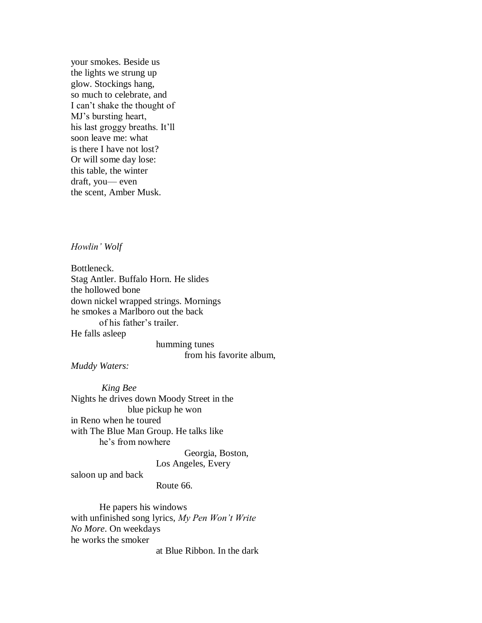your smokes. Beside us the lights we strung up glow. Stockings hang, so much to celebrate, and I can't shake the thought of MJ's bursting heart, his last groggy breaths. It'll soon leave me: what is there I have not lost? Or will some day lose: this table, the winter draft, you— even the scent, Amber Musk.

*Howlin' Wolf* 

Bottleneck. Stag Antler. Buffalo Horn. He slides the hollowed bone down nickel wrapped strings. Mornings he smokes a Marlboro out the back of his father's trailer. He falls asleep

> humming tunes from his favorite album,

*Muddy Waters:*

 *King Bee* Nights he drives down Moody Street in the blue pickup he won in Reno when he toured with The Blue Man Group. He talks like he's from nowhere

 Georgia, Boston, Los Angeles, Every

saloon up and back

Route 66.

 He papers his windows with unfinished song lyrics, *My Pen Won't Write No More*. On weekdays he works the smoker

at Blue Ribbon. In the dark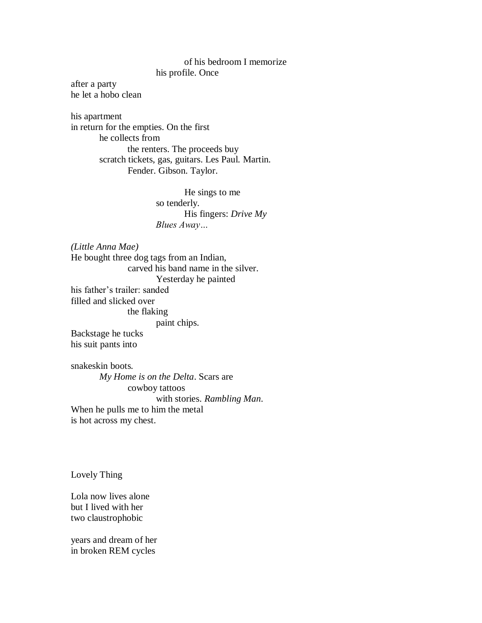## of his bedroom I memorize his profile. Once

after a party he let a hobo clean

his apartment in return for the empties. On the first he collects from the renters. The proceeds buy scratch tickets, gas, guitars. Les Paul. Martin. Fender. Gibson. Taylor.

> He sings to me so tenderly. His fingers: *Drive My Blues Away…*

*(Little Anna Mae)* He bought three dog tags from an Indian, carved his band name in the silver. Yesterday he painted his father's trailer: sanded filled and slicked over the flaking paint chips. Backstage he tucks his suit pants into snakeskin boots.

 *My Home is on the Delta*. Scars are cowboy tattoos with stories. *Rambling Man*. When he pulls me to him the metal is hot across my chest.

Lovely Thing

Lola now lives alone but I lived with her two claustrophobic

years and dream of her in broken REM cycles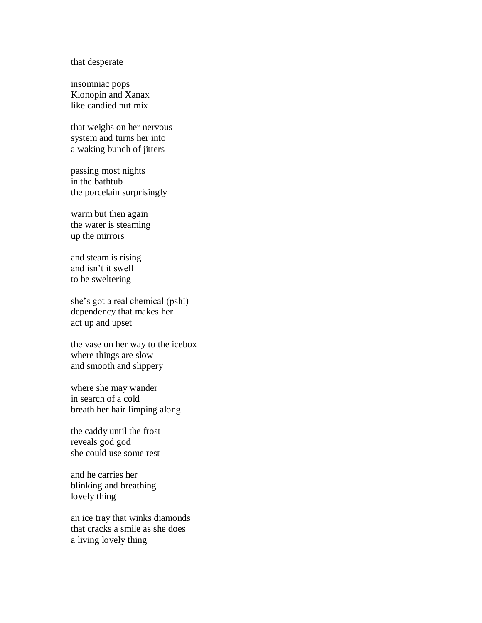that desperate

insomniac pops Klonopin and Xanax like candied nut mix

that weighs on her nervous system and turns her into a waking bunch of jitters

passing most nights in the bathtub the porcelain surprisingly

warm but then again the water is steaming up the mirrors

and steam is rising and isn't it swell to be sweltering

she's got a real chemical (psh!) dependency that makes her act up and upset

the vase on her way to the icebox where things are slow and smooth and slippery

where she may wander in search of a cold breath her hair limping along

the caddy until the frost reveals god god she could use some rest

and he carries her blinking and breathing lovely thing

an ice tray that winks diamonds that cracks a smile as she does a living lovely thing